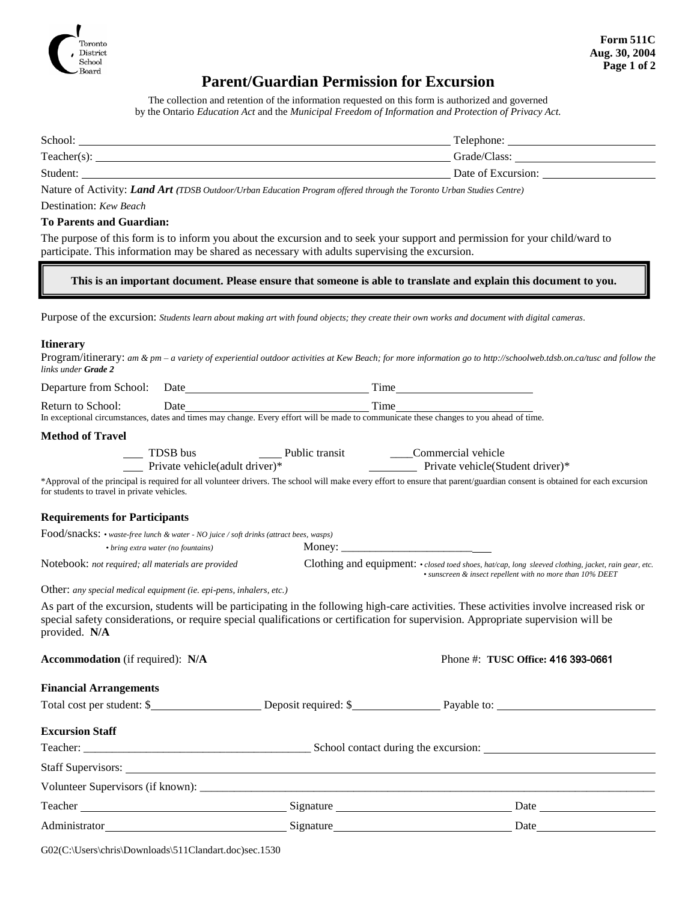

# **Parent/Guardian Permission for Excursion**

The collection and retention of the information requested on this form is authorized and governed by the Ontario *Education Act* and the *Municipal Freedom of Information and Protection of Privacy Act.*

| School:     | Telephone:         |
|-------------|--------------------|
| Teacher(s): | Grade/Class:       |
| Student:    | Date of Excursion: |

Nature of Activity: *Land Art (TDSB Outdoor/Urban Education Program offered through the Toronto Urban Studies Centre)*

#### Destination: *Kew Beach*

#### **To Parents and Guardian:**

The purpose of this form is to inform you about the excursion and to seek your support and permission for your child/ward to participate. This information may be shared as necessary with adults supervising the excursion.

### **This is an important document. Please ensure that someone is able to translate and explain this document to you.**

Purpose of the excursion: *Students learn about making art with found objects; they create their own works and document with digital cameras.*

#### **Itinerary**

Program/itinerary: *am & pm – a variety of experiential outdoor activities at Kew Beach; for more information go to http://schoolweb.tdsb.on.ca/tusc and follow the links under Grade 2*

| Departure from School: | Date | `1me |
|------------------------|------|------|
| Return to School:      | Date | `ime |

In exceptional circumstances, dates and times may change. Every effort will be made to communicate these changes to you ahead of time.

#### **Method of Travel**

| TDSB bus                        | Public transit | Commercial vehicle                |  |
|---------------------------------|----------------|-----------------------------------|--|
| Private vehicle (adult driver)* |                | Private vehicle (Student driver)* |  |

\*Approval of the principal is required for all volunteer drivers. The school will make every effort to ensure that parent/guardian consent is obtained for each excursion for students to travel in private vehicles.

## **Requirements for Participants**

| Food/snacks: • waste-free lunch & water - NO juice / soft drinks (attract bees, wasps) |        |                                                                                                      |
|----------------------------------------------------------------------------------------|--------|------------------------------------------------------------------------------------------------------|
| • bring extra water (no fountains)                                                     | Money: |                                                                                                      |
| Notebook: not required; all materials are provided                                     |        | Clothing and equipment: • closed toed shoes, hat/cap, long sleeved clothing, jacket, rain gear, etc. |
|                                                                                        |        | • sunscreen & insect repellent with no more than 10% DEET                                            |

Other: *any special medical equipment (ie. epi-pens, inhalers, etc.)*

As part of the excursion, students will be participating in the following high-care activities. These activities involve increased risk or special safety considerations, or require special qualifications or certification for supervision. Appropriate supervision will be provided. **N/A**

| <b>Accommodation</b> (if required): N/A | Phone #: TUSC Office: 416 393-0661 |
|-----------------------------------------|------------------------------------|
|                                         |                                    |

|  | Phone #: TUSC Office: 416 393-0661 |
|--|------------------------------------|
|  |                                    |

| <b>Financial Arrangements</b> |  |
|-------------------------------|--|
|-------------------------------|--|

Total cost per student: \$

|  | <b>Excursion Staff</b> |  |
|--|------------------------|--|
|--|------------------------|--|

| Excursion Stall |           |                                      |  |
|-----------------|-----------|--------------------------------------|--|
|                 |           | School contact during the excursion: |  |
|                 |           |                                      |  |
|                 |           |                                      |  |
| Teacher         | Signature | Date                                 |  |
| Administrator   | Signature | Date                                 |  |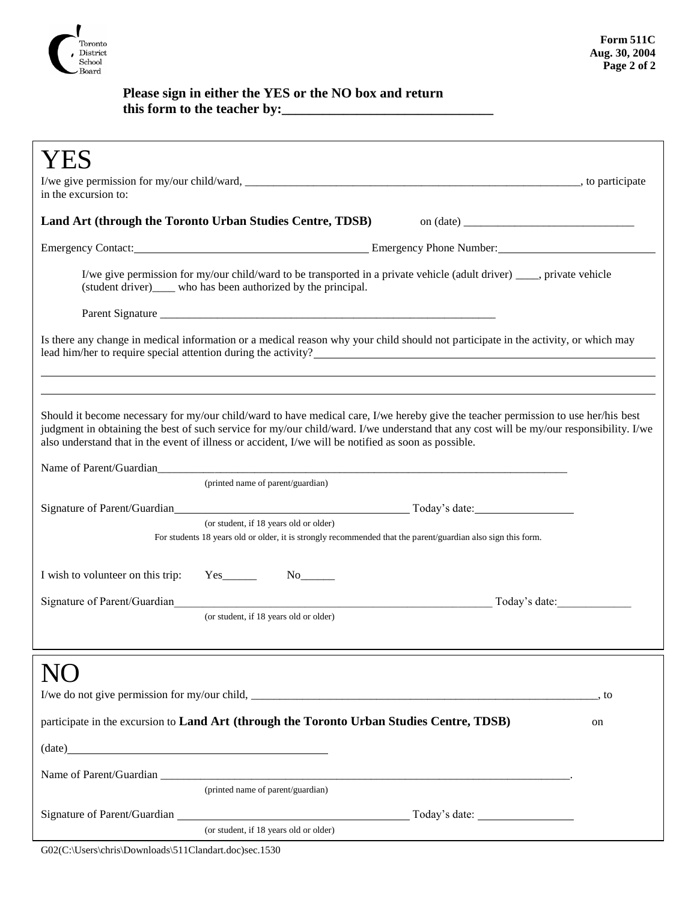

## **Please sign in either the YES or the NO box and return this form to the teacher by:\_\_\_\_\_\_\_\_\_\_\_\_\_\_\_\_\_\_\_\_\_\_\_\_\_\_\_\_\_\_\_**

| Emergency Contact: Emergency Phone Number:<br>I/we give permission for my/our child/ward to be transported in a private vehicle (adult driver) ____, private vehicle<br>(student driver)_____ who has been authorized by the principal.<br>Is there any change in medical information or a medical reason why your child should not participate in the activity, or which may<br>lead him/her to require special attention during the activity?<br>Should it become necessary for my/our child/ward to have medical care, I/we hereby give the teacher permission to use her/his best<br>judgment in obtaining the best of such service for my/our child/ward. I/we understand that any cost will be my/our responsibility. I/we<br>also understand that in the event of illness or accident, I/we will be notified as soon as possible.<br>(printed name of parent/guardian)<br>(or student, if 18 years old or older)<br>For students 18 years old or older, it is strongly recommended that the parent/guardian also sign this form.<br>I wish to volunteer on this trip:<br>$Yes$ $No$ $No$<br>Signature of Parent/Guardian<br>Today's date:<br>(or student, if 18 years old or older)<br>, to<br>participate in the excursion to Land Art (through the Toronto Urban Studies Centre, TDSB)<br>on<br>$(data)$ $(date)$<br>(printed name of parent/guardian)<br>(or student, if 18 years old or older) | in the excursion to: |  |
|-----------------------------------------------------------------------------------------------------------------------------------------------------------------------------------------------------------------------------------------------------------------------------------------------------------------------------------------------------------------------------------------------------------------------------------------------------------------------------------------------------------------------------------------------------------------------------------------------------------------------------------------------------------------------------------------------------------------------------------------------------------------------------------------------------------------------------------------------------------------------------------------------------------------------------------------------------------------------------------------------------------------------------------------------------------------------------------------------------------------------------------------------------------------------------------------------------------------------------------------------------------------------------------------------------------------------------------------------------------------------------------------------------------|----------------------|--|
|                                                                                                                                                                                                                                                                                                                                                                                                                                                                                                                                                                                                                                                                                                                                                                                                                                                                                                                                                                                                                                                                                                                                                                                                                                                                                                                                                                                                           |                      |  |
|                                                                                                                                                                                                                                                                                                                                                                                                                                                                                                                                                                                                                                                                                                                                                                                                                                                                                                                                                                                                                                                                                                                                                                                                                                                                                                                                                                                                           |                      |  |
|                                                                                                                                                                                                                                                                                                                                                                                                                                                                                                                                                                                                                                                                                                                                                                                                                                                                                                                                                                                                                                                                                                                                                                                                                                                                                                                                                                                                           |                      |  |
|                                                                                                                                                                                                                                                                                                                                                                                                                                                                                                                                                                                                                                                                                                                                                                                                                                                                                                                                                                                                                                                                                                                                                                                                                                                                                                                                                                                                           |                      |  |
|                                                                                                                                                                                                                                                                                                                                                                                                                                                                                                                                                                                                                                                                                                                                                                                                                                                                                                                                                                                                                                                                                                                                                                                                                                                                                                                                                                                                           |                      |  |
|                                                                                                                                                                                                                                                                                                                                                                                                                                                                                                                                                                                                                                                                                                                                                                                                                                                                                                                                                                                                                                                                                                                                                                                                                                                                                                                                                                                                           |                      |  |
|                                                                                                                                                                                                                                                                                                                                                                                                                                                                                                                                                                                                                                                                                                                                                                                                                                                                                                                                                                                                                                                                                                                                                                                                                                                                                                                                                                                                           |                      |  |
|                                                                                                                                                                                                                                                                                                                                                                                                                                                                                                                                                                                                                                                                                                                                                                                                                                                                                                                                                                                                                                                                                                                                                                                                                                                                                                                                                                                                           |                      |  |
|                                                                                                                                                                                                                                                                                                                                                                                                                                                                                                                                                                                                                                                                                                                                                                                                                                                                                                                                                                                                                                                                                                                                                                                                                                                                                                                                                                                                           |                      |  |
|                                                                                                                                                                                                                                                                                                                                                                                                                                                                                                                                                                                                                                                                                                                                                                                                                                                                                                                                                                                                                                                                                                                                                                                                                                                                                                                                                                                                           |                      |  |
|                                                                                                                                                                                                                                                                                                                                                                                                                                                                                                                                                                                                                                                                                                                                                                                                                                                                                                                                                                                                                                                                                                                                                                                                                                                                                                                                                                                                           |                      |  |
|                                                                                                                                                                                                                                                                                                                                                                                                                                                                                                                                                                                                                                                                                                                                                                                                                                                                                                                                                                                                                                                                                                                                                                                                                                                                                                                                                                                                           |                      |  |
|                                                                                                                                                                                                                                                                                                                                                                                                                                                                                                                                                                                                                                                                                                                                                                                                                                                                                                                                                                                                                                                                                                                                                                                                                                                                                                                                                                                                           |                      |  |
|                                                                                                                                                                                                                                                                                                                                                                                                                                                                                                                                                                                                                                                                                                                                                                                                                                                                                                                                                                                                                                                                                                                                                                                                                                                                                                                                                                                                           |                      |  |
|                                                                                                                                                                                                                                                                                                                                                                                                                                                                                                                                                                                                                                                                                                                                                                                                                                                                                                                                                                                                                                                                                                                                                                                                                                                                                                                                                                                                           |                      |  |
|                                                                                                                                                                                                                                                                                                                                                                                                                                                                                                                                                                                                                                                                                                                                                                                                                                                                                                                                                                                                                                                                                                                                                                                                                                                                                                                                                                                                           |                      |  |
|                                                                                                                                                                                                                                                                                                                                                                                                                                                                                                                                                                                                                                                                                                                                                                                                                                                                                                                                                                                                                                                                                                                                                                                                                                                                                                                                                                                                           |                      |  |
|                                                                                                                                                                                                                                                                                                                                                                                                                                                                                                                                                                                                                                                                                                                                                                                                                                                                                                                                                                                                                                                                                                                                                                                                                                                                                                                                                                                                           |                      |  |
|                                                                                                                                                                                                                                                                                                                                                                                                                                                                                                                                                                                                                                                                                                                                                                                                                                                                                                                                                                                                                                                                                                                                                                                                                                                                                                                                                                                                           |                      |  |